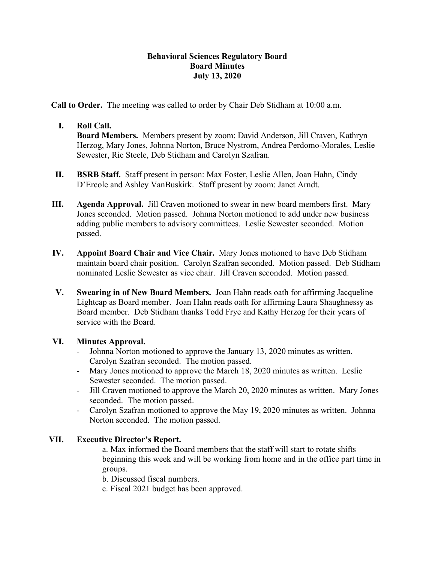### **Behavioral Sciences Regulatory Board Board Minutes July 13, 2020**

**Call to Order.** The meeting was called to order by Chair Deb Stidham at 10:00 a.m.

# **I. Roll Call.**

**Board Members.** Members present by zoom: David Anderson, Jill Craven, Kathryn Herzog, Mary Jones, Johnna Norton, Bruce Nystrom, Andrea Perdomo-Morales, Leslie Sewester, Ric Steele, Deb Stidham and Carolyn Szafran.

- **II. BSRB Staff.** Staff present in person: Max Foster, Leslie Allen, Joan Hahn, Cindy D'Ercole and Ashley VanBuskirk. Staff present by zoom: Janet Arndt.
- **III. Agenda Approval.** Jill Craven motioned to swear in new board members first. Mary Jones seconded. Motion passed. Johnna Norton motioned to add under new business adding public members to advisory committees. Leslie Sewester seconded. Motion passed.
- **IV. Appoint Board Chair and Vice Chair.** Mary Jones motioned to have Deb Stidham maintain board chair position. Carolyn Szafran seconded. Motion passed. Deb Stidham nominated Leslie Sewester as vice chair. Jill Craven seconded. Motion passed.
- **V. Swearing in of New Board Members.** Joan Hahn reads oath for affirming Jacqueline Lightcap as Board member. Joan Hahn reads oath for affirming Laura Shaughnessy as Board member. Deb Stidham thanks Todd Frye and Kathy Herzog for their years of service with the Board.

#### **VI. Minutes Approval.**

- Johnna Norton motioned to approve the January 13, 2020 minutes as written. Carolyn Szafran seconded. The motion passed.
- Mary Jones motioned to approve the March 18, 2020 minutes as written. Leslie Sewester seconded. The motion passed.
- Jill Craven motioned to approve the March 20, 2020 minutes as written. Mary Jones seconded. The motion passed.
- Carolyn Szafran motioned to approve the May 19, 2020 minutes as written. Johnna Norton seconded. The motion passed.

# **VII. Executive Director's Report.**

a. Max informed the Board members that the staff will start to rotate shifts beginning this week and will be working from home and in the office part time in groups.

b. Discussed fiscal numbers.

c. Fiscal 2021 budget has been approved.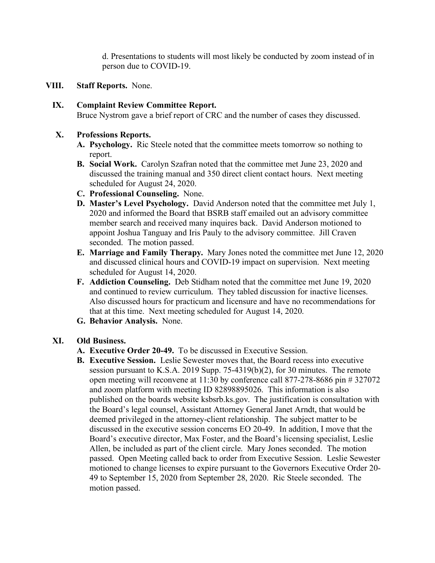d. Presentations to students will most likely be conducted by zoom instead of in person due to COVID-19.

**VIII. Staff Reports.** None.

# **IX. Complaint Review Committee Report.**

Bruce Nystrom gave a brief report of CRC and the number of cases they discussed.

#### **X. Professions Reports.**

- **A. Psychology.** Ric Steele noted that the committee meets tomorrow so nothing to report.
- **B. Social Work.** Carolyn Szafran noted that the committee met June 23, 2020 and discussed the training manual and 350 direct client contact hours. Next meeting scheduled for August 24, 2020.
- **C. Professional Counseling.** None.
- **D. Master's Level Psychology.** David Anderson noted that the committee met July 1, 2020 and informed the Board that BSRB staff emailed out an advisory committee member search and received many inquires back. David Anderson motioned to appoint Joshua Tanguay and Iris Pauly to the advisory committee. Jill Craven seconded. The motion passed.
- **E. Marriage and Family Therapy.** Mary Jones noted the committee met June 12, 2020 and discussed clinical hours and COVID-19 impact on supervision. Next meeting scheduled for August 14, 2020.
- **F. Addiction Counseling.** Deb Stidham noted that the committee met June 19, 2020 and continued to review curriculum. They tabled discussion for inactive licenses. Also discussed hours for practicum and licensure and have no recommendations for that at this time. Next meeting scheduled for August 14, 2020.
- **G. Behavior Analysis.** None.

# **XI. Old Business.**

- **A. Executive Order 20-49.** To be discussed in Executive Session.
- **B. Executive Session.** Leslie Sewester moves that, the Board recess into executive session pursuant to K.S.A. 2019 Supp. 75-4319(b)(2), for 30 minutes. The remote open meeting will reconvene at 11:30 by conference call 877-278-8686 pin # 327072 and zoom platform with meeting ID 82898895026. This information is also published on the boards website ksbsrb.ks.gov. The justification is consultation with the Board's legal counsel, Assistant Attorney General Janet Arndt, that would be deemed privileged in the attorney-client relationship. The subject matter to be discussed in the executive session concerns EO 20-49. In addition, I move that the Board's executive director, Max Foster, and the Board's licensing specialist, Leslie Allen, be included as part of the client circle. Mary Jones seconded. The motion passed. Open Meeting called back to order from Executive Session. Leslie Sewester motioned to change licenses to expire pursuant to the Governors Executive Order 20- 49 to September 15, 2020 from September 28, 2020. Ric Steele seconded. The motion passed.